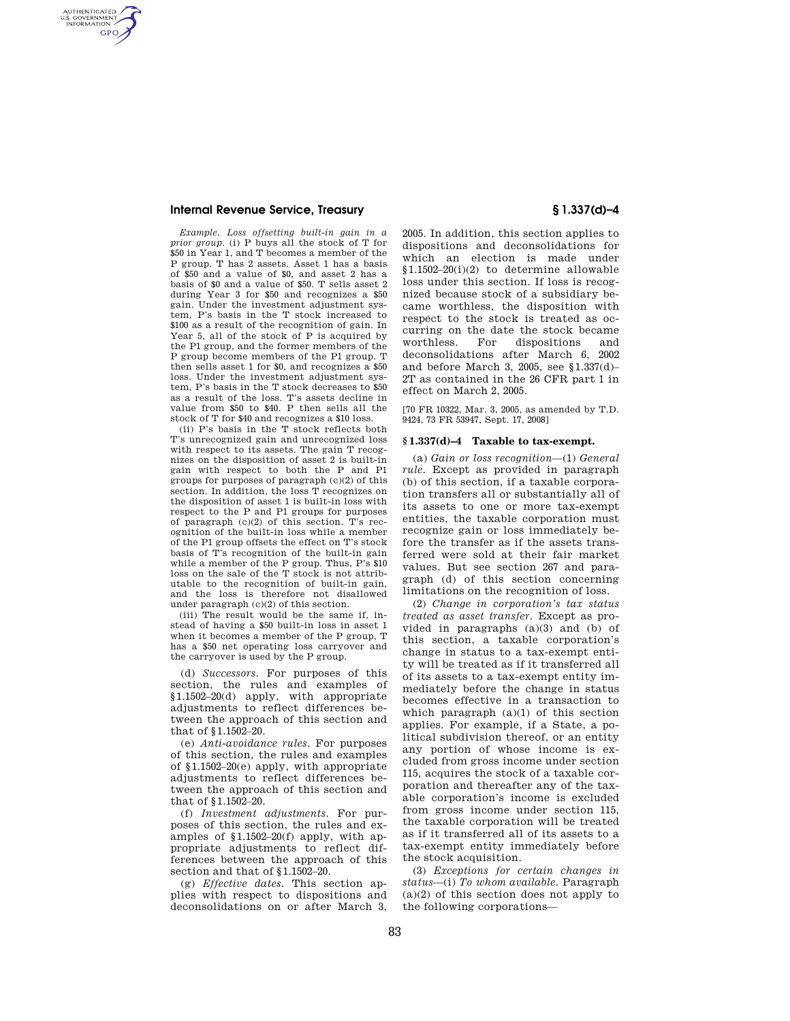## **Internal Revenue Service, Treasury § 1.337(d)–4**

AUTHENTICATED<br>U.S. GOVERNMENT<br>INFORMATION **GPO** 

> *Example. Loss offsetting built-in gain in a prior group*. (i) P buys all the stock of T for \$50 in Year 1, and T becomes a member of the P group. T has 2 assets. Asset 1 has a basis of \$50 and a value of \$0, and asset 2 has a basis of \$0 and a value of \$50. T sells asset 2 during Year 3 for \$50 and recognizes a \$50 gain. Under the investment adjustment system, P's basis in the T stock increased to \$100 as a result of the recognition of gain. In Year 5, all of the stock of P is acquired by the P1 group, and the former members of the P group become members of the P1 group. T then sells asset 1 for \$0, and recognizes a \$50 loss. Under the investment adjustment system, P's basis in the T stock decreases to \$50 as a result of the loss. T's assets decline in value from \$50 to \$40. P then sells all the stock of T for \$40 and recognizes a \$10 loss.

> (ii) P's basis in the T stock reflects both T's unrecognized gain and unrecognized loss with respect to its assets. The gain T recognizes on the disposition of asset 2 is built-in gain with respect to both the P and P1 groups for purposes of paragraph (c)(2) of this section. In addition, the loss T recognizes on the disposition of asset 1 is built-in loss with respect to the P and P1 groups for purposes of paragraph  $(c)(2)$  of this section. T's recognition of the built-in loss while a member of the P1 group offsets the effect on T's stock basis of T's recognition of the built-in gain while a member of the P group. Thus, P's \$10 loss on the sale of the T stock is not attributable to the recognition of built-in gain, and the loss is therefore not disallowed under paragraph (c)(2) of this section.

> (iii) The result would be the same if, instead of having a \$50 built-in loss in asset 1 when it becomes a member of the P group, T has a \$50 net operating loss carryover and the carryover is used by the P group.

> (d) *Successors*. For purposes of this section, the rules and examples of §1.1502–20(d) apply, with appropriate adjustments to reflect differences between the approach of this section and that of §1.1502–20.

> (e) *Anti-avoidance rules*. For purposes of this section, the rules and examples of §1.1502–20(e) apply, with appropriate adjustments to reflect differences between the approach of this section and that of §1.1502–20.

> (f) *Investment adjustments*. For purposes of this section, the rules and examples of §1.1502–20(f) apply, with appropriate adjustments to reflect differences between the approach of this section and that of §1.1502–20.

(g) *Effective dates*. This section applies with respect to dispositions and deconsolidations on or after March 3,

2005. In addition, this section applies to dispositions and deconsolidations for which an election is made under §1.1502–20(i)(2) to determine allowable loss under this section. If loss is recognized because stock of a subsidiary became worthless, the disposition with respect to the stock is treated as occurring on the date the stock became worthless. For dispositions and deconsolidations after March 6, 2002 and before March 3, 2005, see §1.337(d)– 2T as contained in the 26 CFR part 1 in effect on March 2, 2005.

[70 FR 10322, Mar. 3, 2005, as amended by T.D. 9424, 73 FR 53947, Sept. 17, 2008]

## **§ 1.337(d)–4 Taxable to tax-exempt.**

(a) *Gain or loss recognition*—(1) *General rule.* Except as provided in paragraph (b) of this section, if a taxable corporation transfers all or substantially all of its assets to one or more tax-exempt entities, the taxable corporation must recognize gain or loss immediately before the transfer as if the assets transferred were sold at their fair market values. But see section 267 and paragraph (d) of this section concerning limitations on the recognition of loss.

(2) *Change in corporation's tax status treated as asset transfer.* Except as provided in paragraphs (a)(3) and (b) of this section, a taxable corporation's change in status to a tax-exempt entity will be treated as if it transferred all of its assets to a tax-exempt entity immediately before the change in status becomes effective in a transaction to which paragraph  $(a)(1)$  of this section applies. For example, if a State, a political subdivision thereof, or an entity any portion of whose income is excluded from gross income under section 115, acquires the stock of a taxable corporation and thereafter any of the taxable corporation's income is excluded from gross income under section 115, the taxable corporation will be treated as if it transferred all of its assets to a tax-exempt entity immediately before the stock acquisition.

(3) *Exceptions for certain changes in status*—(i) *To whom available.* Paragraph  $(a)(2)$  of this section does not apply to the following corporations—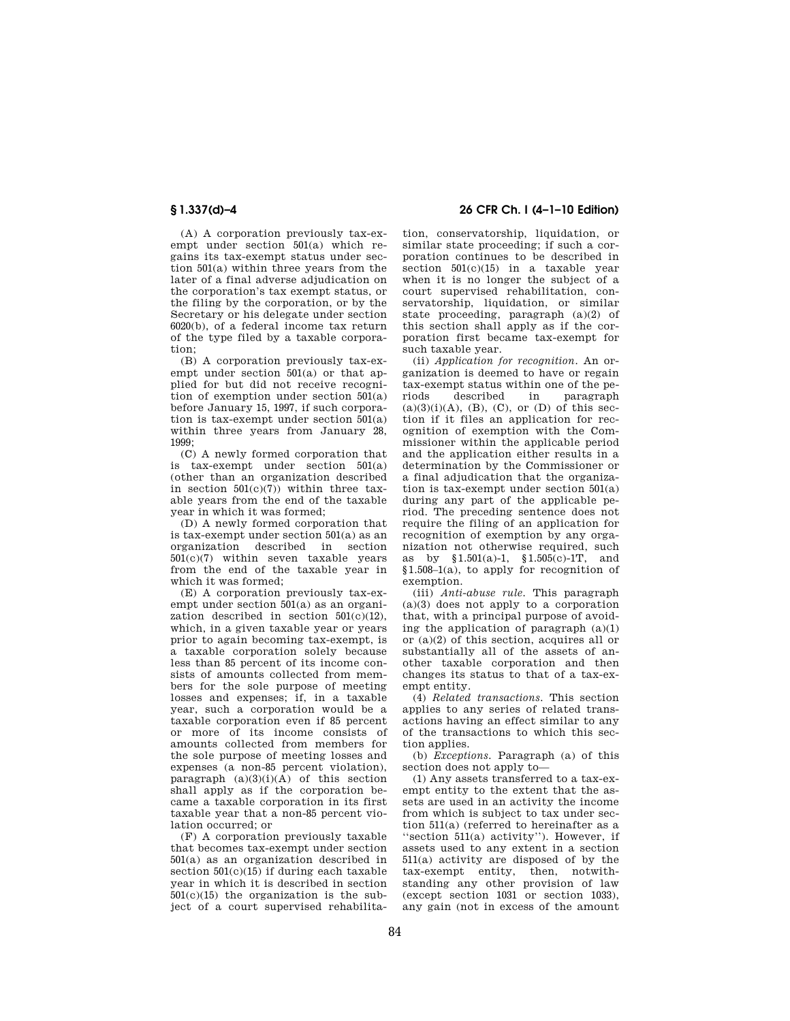(A) A corporation previously tax-exempt under section 501(a) which regains its tax-exempt status under section 501(a) within three years from the later of a final adverse adjudication on the corporation's tax exempt status, or the filing by the corporation, or by the Secretary or his delegate under section 6020(b), of a federal income tax return of the type filed by a taxable corporation;

(B) A corporation previously tax-exempt under section 501(a) or that applied for but did not receive recogni-.<br>tion of exemption under section 501(a) before January 15, 1997, if such corporation is tax-exempt under section 501(a) within three years from January 28, 1999;

(C) A newly formed corporation that is tax-exempt under section 501(a) (other than an organization described in section  $501(c)(7)$ ) within three taxable years from the end of the taxable year in which it was formed;

(D) A newly formed corporation that is tax-exempt under section 501(a) as an organization described in section 501(c)(7) within seven taxable years from the end of the taxable year in which it was formed;

(E) A corporation previously tax-exempt under section 501(a) as an organization described in section  $501(c)(12)$ , which, in a given taxable year or years prior to again becoming tax-exempt, is a taxable corporation solely because less than 85 percent of its income consists of amounts collected from members for the sole purpose of meeting losses and expenses; if, in a taxable year, such a corporation would be a taxable corporation even if 85 percent or more of its income consists of amounts collected from members for the sole purpose of meeting losses and expenses (a non-85 percent violation), paragraph  $(a)(3)(i)(\overline{A})$  of this section shall apply as if the corporation became a taxable corporation in its first taxable year that a non-85 percent violation occurred; or

(F) A corporation previously taxable that becomes tax-exempt under section 501(a) as an organization described in section  $501(c)(15)$  if during each taxable year in which it is described in section  $501(c)(15)$  the organization is the subject of a court supervised rehabilita-

# **§ 1.337(d)–4 26 CFR Ch. I (4–1–10 Edition)**

tion, conservatorship, liquidation, or similar state proceeding; if such a corporation continues to be described in section 501(c)(15) in a taxable year when it is no longer the subject of a court supervised rehabilitation, conservatorship, liquidation, or similar state proceeding, paragraph (a)(2) of this section shall apply as if the corporation first became tax-exempt for such taxable year.

(ii) *Application for recognition.* An organization is deemed to have or regain tax-exempt status within one of the peparagraph  $(a)(3)(i)(A)$ ,  $(B)$ ,  $(C)$ , or  $(D)$  of this section if it files an application for recognition of exemption with the Commissioner within the applicable period and the application either results in a determination by the Commissioner or a final adjudication that the organization is tax-exempt under section 501(a) during any part of the applicable period. The preceding sentence does not require the filing of an application for recognition of exemption by any organization not otherwise required, such as by §1.501(a)-1, §1.505(c)-1T, and  $$1.508-1(a)$ , to apply for recognition of exemption.

(iii) *Anti-abuse rule.* This paragraph (a)(3) does not apply to a corporation that, with a principal purpose of avoiding the application of paragraph  $(a)(1)$ or (a)(2) of this section, acquires all or substantially all of the assets of another taxable corporation and then changes its status to that of a tax-exempt entity.

(4) *Related transactions.* This section applies to any series of related transactions having an effect similar to any of the transactions to which this section applies.

(b) *Exceptions.* Paragraph (a) of this section does not apply to—

(1) Any assets transferred to a tax-exempt entity to the extent that the assets are used in an activity the income from which is subject to tax under section 511(a) (referred to hereinafter as a ''section 511(a) activity''). However, if assets used to any extent in a section 511(a) activity are disposed of by the tax-exempt entity, then, notwithstanding any other provision of law (except section 1031 or section 1033), any gain (not in excess of the amount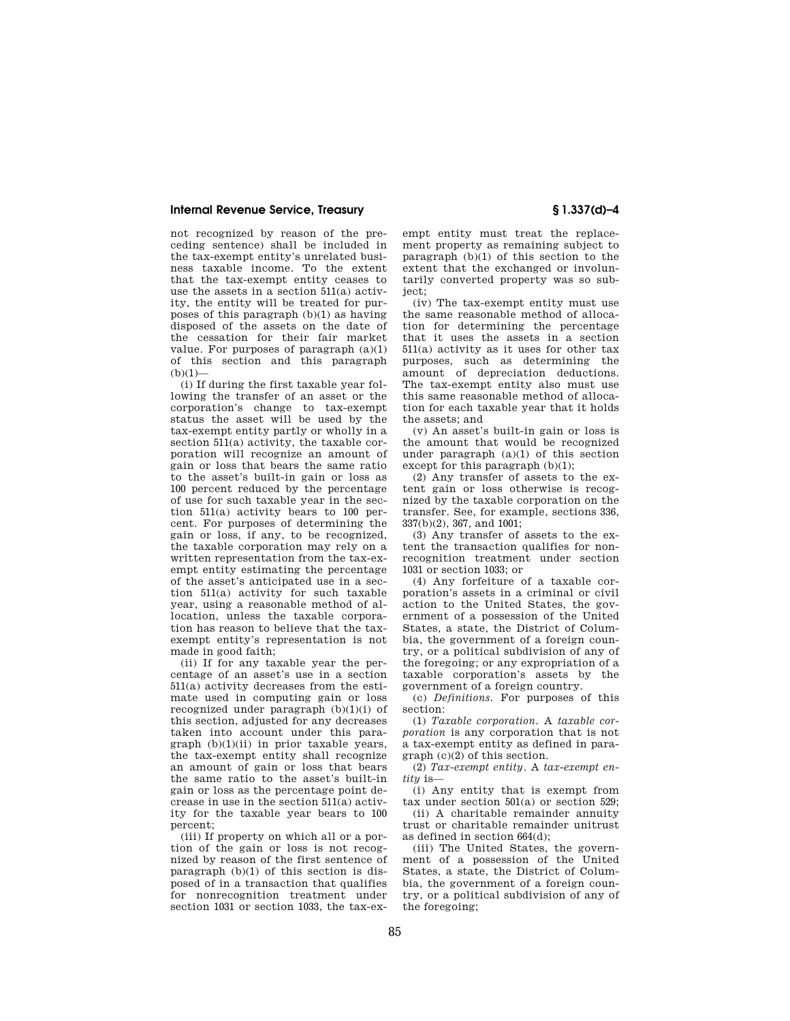## **Internal Revenue Service, Treasury § 1.337(d)–4**

not recognized by reason of the preceding sentence) shall be included in the tax-exempt entity's unrelated business taxable income. To the extent that the tax-exempt entity ceases to use the assets in a section 511(a) activity, the entity will be treated for purposes of this paragraph (b)(1) as having disposed of the assets on the date of the cessation for their fair market value. For purposes of paragraph  $(a)(1)$ of this section and this paragraph  $(h)(1)$ —

(i) If during the first taxable year following the transfer of an asset or the corporation's change to tax-exempt status the asset will be used by the tax-exempt entity partly or wholly in a section 511(a) activity, the taxable corporation will recognize an amount of gain or loss that bears the same ratio to the asset's built-in gain or loss as 100 percent reduced by the percentage of use for such taxable year in the section 511(a) activity bears to 100 percent. For purposes of determining the gain or loss, if any, to be recognized, the taxable corporation may rely on a written representation from the tax-exempt entity estimating the percentage of the asset's anticipated use in a section 511(a) activity for such taxable year, using a reasonable method of allocation, unless the taxable corporation has reason to believe that the taxexempt entity's representation is not made in good faith;

(ii) If for any taxable year the percentage of an asset's use in a section 511(a) activity decreases from the estimate used in computing gain or loss recognized under paragraph  $(b)(1)(i)$  of this section, adjusted for any decreases taken into account under this paragraph (b)(1)(ii) in prior taxable years, the tax-exempt entity shall recognize an amount of gain or loss that bears the same ratio to the asset's built-in gain or loss as the percentage point decrease in use in the section 511(a) activity for the taxable year bears to 100 percent;

(iii) If property on which all or a portion of the gain or loss is not recognized by reason of the first sentence of paragraph (b)(1) of this section is disposed of in a transaction that qualifies for nonrecognition treatment under section 1031 or section 1033, the tax-exempt entity must treat the replacement property as remaining subject to paragraph (b)(1) of this section to the extent that the exchanged or involuntarily converted property was so subject;

(iv) The tax-exempt entity must use the same reasonable method of allocation for determining the percentage that it uses the assets in a section 511(a) activity as it uses for other tax purposes, such as determining the amount of depreciation deductions. The tax-exempt entity also must use this same reasonable method of allocation for each taxable year that it holds the assets; and

(v) An asset's built-in gain or loss is the amount that would be recognized under paragraph  $(a)(1)$  of this section except for this paragraph  $(b)(1)$ ;

(2) Any transfer of assets to the extent gain or loss otherwise is recognized by the taxable corporation on the transfer. See, for example, sections 336, 337(b)(2), 367, and 1001;

(3) Any transfer of assets to the extent the transaction qualifies for nonrecognition treatment under section 1031 or section 1033; or

(4) Any forfeiture of a taxable corporation's assets in a criminal or civil action to the United States, the government of a possession of the United States, a state, the District of Columbia, the government of a foreign country, or a political subdivision of any of the foregoing; or any expropriation of a taxable corporation's assets by the government of a foreign country.

(c) *Definitions.* For purposes of this section:

(1) *Taxable corporation.* A *taxable corporation* is any corporation that is not a tax-exempt entity as defined in paragraph (c)(2) of this section.

(2) *Tax-exempt entity.* A *tax-exempt entity* is—

(i) Any entity that is exempt from tax under section 501(a) or section 529;

(ii) A charitable remainder annuity trust or charitable remainder unitrust as defined in section 664(d);

(iii) The United States, the government of a possession of the United States, a state, the District of Columbia, the government of a foreign country, or a political subdivision of any of the foregoing: